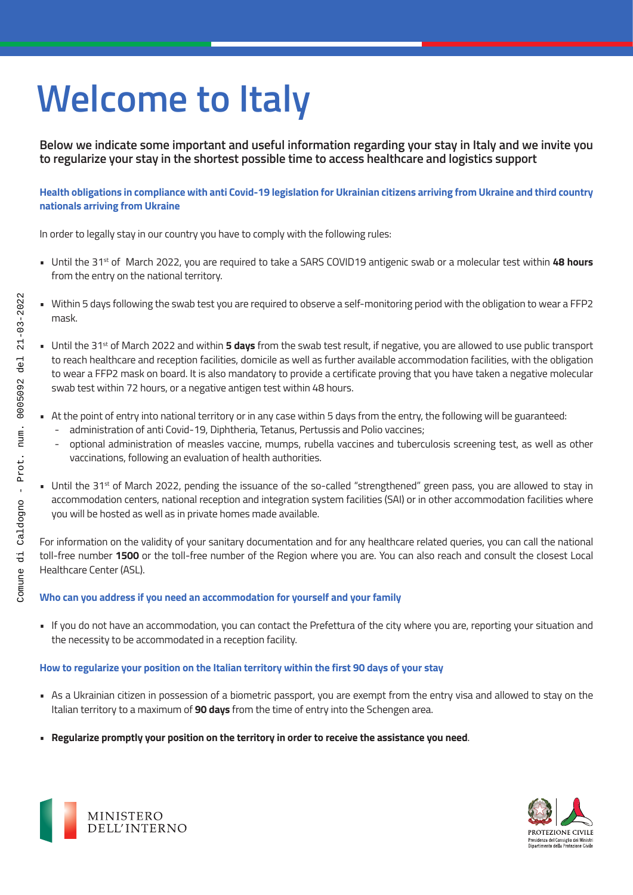# **Welcome to Italy**

**Below we indicate some important and useful information regarding your stay in Italy and we invite you to regularize your stay in the shortest possible time to access healthcare and logistics support**

**Health obligations in compliance with anti Covid-19 legislation for Ukrainian citizens arriving from Ukraine and third country nationals arriving from Ukraine**

In order to legally stay in our country you have to comply with the following rules:

- Until the 31st of March 2022, you are required to take a SARS COVID19 antigenic swab or a molecular test within **48 hours**  from the entry on the national territory.
- Within 5 days following the swab test you are required to observe a self-monitoring period with the obligation to wear a FFP2 mask.
- Until the 31<sup>st</sup> of March 2022 and within **5 days** from the swab test result, if negative, you are allowed to use public transport to reach healthcare and reception facilities, domicile as well as further available accommodation facilities, with the obligation to wear a FFP2 mask on board. It is also mandatory to provide a certificate proving that you have taken a negative molecular swab test within 72 hours, or a negative antigen test within 48 hours.
- At the point of entry into national territory or in any case within 5 days from the entry, the following will be guaranteed:
	- administration of anti Covid-19, Diphtheria, Tetanus, Pertussis and Polio vaccines;
	- optional administration of measles vaccine, mumps, rubella vaccines and tuberculosis screening test, as well as other vaccinations, following an evaluation of health authorities.
- Until the 31<sup>st</sup> of March 2022, pending the issuance of the so-called "strengthened" green pass, you are allowed to stay in accommodation centers, national reception and integration system facilities (SAI) or in other accommodation facilities where you will be hosted as well as in private homes made available.

For information on the validity of your sanitary documentation and for any healthcare related queries, you can call the national toll-free number **1500** or the toll-free number of the Region where you are. You can also reach and consult the closest Local Healthcare Center (ASL).

## **Who can you address if you need an accommodation for yourself and your family**

• If you do not have an accommodation, you can contact the Prefettura of the city where you are, reporting your situation and the necessity to be accommodated in a reception facility.

## **How to regularize your position on the Italian territory within the first 90 days of your stay**

- As a Ukrainian citizen in possession of a biometric passport, you are exempt from the entry visa and allowed to stay on the Italian territory to a maximum of **90 days** from the time of entry into the Schengen area.
- **Regularize promptly your position on the territory in order to receive the assistance you need**.